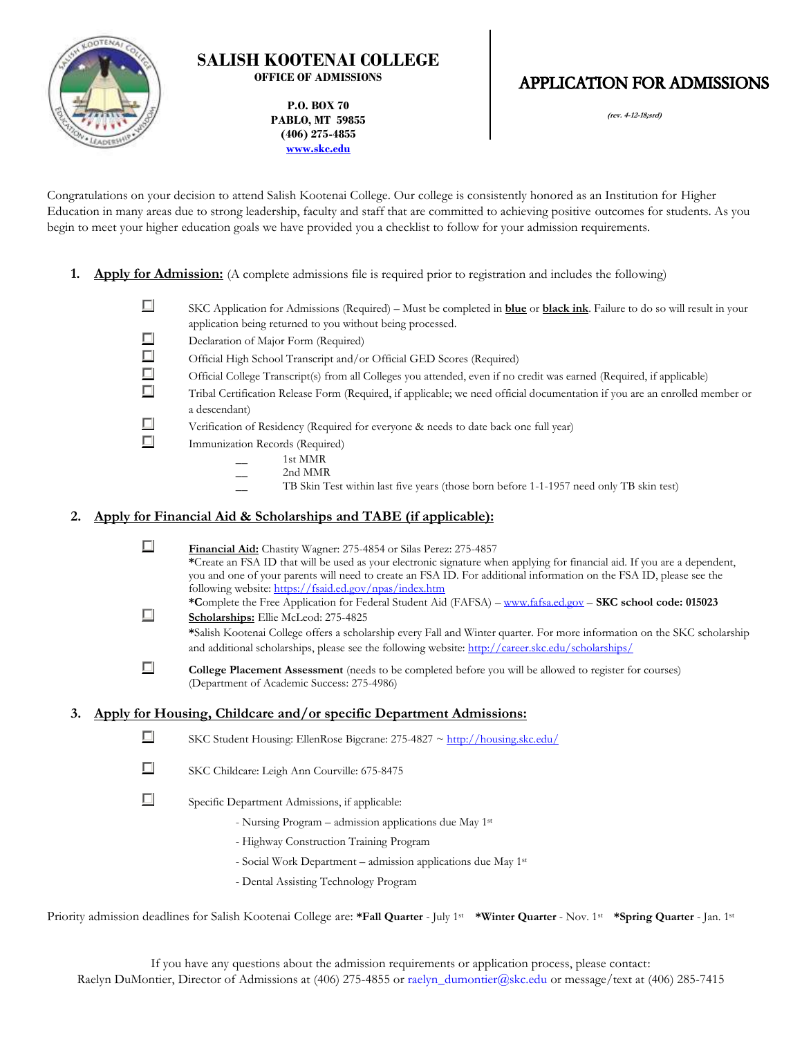

# **SALISH KOOTENAI COLLEGE OFFICE OF ADMISSIONS**

**P.O. BOX 70 PABLO, MT 59855 (406) 275-4855 [www.skc.edu](http://www.skc.edu/)**

# **APPLICATION FOR ADMISSIONS**

**(rev. 4-12-18;srd)**

Congratulations on your decision to attend Salish Kootenai College. Our college is consistently honored as an Institution for Higher Education in many areas due to strong leadership, faculty and staff that are committed to achieving positive outcomes for students. As you begin to meet your higher education goals we have provided you a checklist to follow for your admission requirements.

- **1. Apply for Admission:** (A complete admissions file is required prior to registration and includes the following)
	- $\Box$ SKC Application for Admissions (Required) – Must be completed in **blue** or **black ink**. Failure to do so will result in your application being returned to you without being processed.
	- $\Box$ Declaration of Major Form (Required)
	- П Official High School Transcript and/or Official GED Scores (Required)
	- $\Box$ Official College Transcript(s) from all Colleges you attended, even if no credit was earned (Required, if applicable)
	- П Tribal Certification Release Form (Required, if applicable; we need official documentation if you are an enrolled member or a descendant)
	- П Verification of Residency (Required for everyone & needs to date back one full year)
	- $\Box$ Immunization Records (Required)
		- \_\_ 1st MMR
		- 2nd MMR
		- TB Skin Test within last five years (those born before 1-1-1957 need only TB skin test)

# **2. Apply for Financial Aid & Scholarships and TABE (if applicable):**

 $\Box$ 

**Financial Aid:** Chastity Wagner: 275-4854 or Silas Perez: 275-4857 **\***Create an FSA ID that will be used as your electronic signature when applying for financial aid. If you are a dependent, you and one of your parents will need to create an FSA ID. For additional information on the FSA ID, please see the following website[: https://fsaid.ed.gov/npas/index.htm](https://fsaid.ed.gov/npas/index.htm)

**\*C**omplete the Free Application for Federal Student Aid (FAFSA) – [www.fafsa.ed.gov](http://www.fafsa.ed.gov/) – **SKC school code: 015023** П **Scholarships:** Ellie McLeod: 275-4825 **\***Salish Kootenai College offers a scholarship every Fall and Winter quarter. For more information on the SKC scholarship and additional scholarships, please see the following website[: http://career.skc.edu/scholarships/](http://career.skc.edu/scholarships/)

П **College Placement Assessment** (needs to be completed before you will be allowed to register for courses) (Department of Academic Success: 275-4986)

#### **3. Apply for Housing, Childcare and/or specific Department Admissions:**

- П SKC Student Housing: EllenRose Bigcrane: 275-4827 [~ http://housing.skc.edu/](http://housing.skc.edu/)
- П SKC Childcare: Leigh Ann Courville: 675-8475

 $\Box$ Specific Department Admissions, if applicable:

- Nursing Program admission applications due May 1st
- Highway Construction Training Program
- Social Work Department admission applications due May 1st
- Dental Assisting Technology Program

Priority admission deadlines for Salish Kootenai College are: **\*Fall Quarter** - July 1st Minter Quarter - Nov. 1st Kapring Quarter - Jan. 1st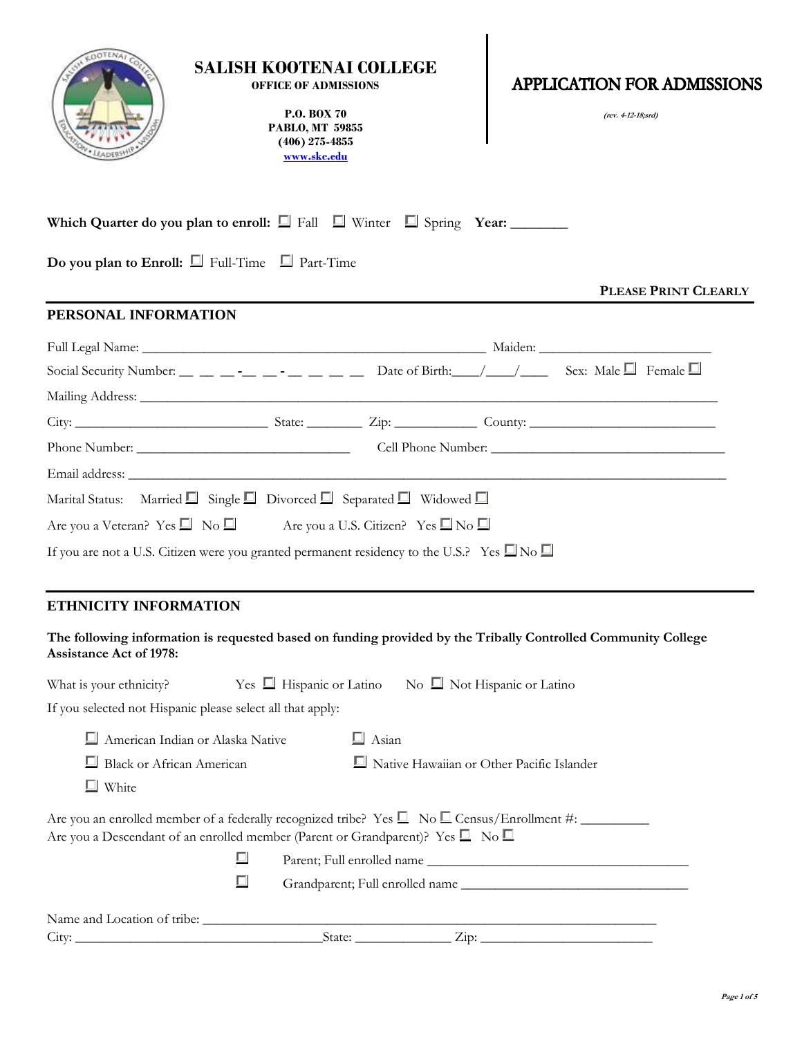| <b>SALISH KOOTENAI COLLEGE</b><br><b>APPLICATION FOR ADMISSIONS</b><br><b>OFFICE OF ADMISSIONS</b><br><b>P.O. BOX 70</b><br>(rev. 4-12-18;srd)<br><b>PABLO, MT 59855</b><br>$(406)$ 275-4855<br>www.skc.edu                    |  |
|--------------------------------------------------------------------------------------------------------------------------------------------------------------------------------------------------------------------------------|--|
| Which Quarter do you plan to enroll: $\Box$ Fall $\Box$ Winter $\Box$ Spring Year:<br>Do you plan to Enroll: $\Box$ Full-Time $\Box$ Part-Time                                                                                 |  |
| PLEASE PRINT CLEARLY                                                                                                                                                                                                           |  |
| PERSONAL INFORMATION                                                                                                                                                                                                           |  |
|                                                                                                                                                                                                                                |  |
| Social Security Number: _ _ _ _ _ _ _ _ _ _ _ _ _ _ Date of Birth: _ _/___/ ____ Sex: Male _ Female _                                                                                                                          |  |
|                                                                                                                                                                                                                                |  |
|                                                                                                                                                                                                                                |  |
|                                                                                                                                                                                                                                |  |
| Email address: Lawrence and the contract of the contract of the contract of the contract of the contract of the contract of the contract of the contract of the contract of the contract of the contract of the contract of th |  |
| Marital Status: Married $\Box$ Single $\Box$ Divorced $\Box$ Separated $\Box$ Widowed $\Box$                                                                                                                                   |  |
| Are you a Veteran? Yes $\Box$ No $\Box$ Are you a U.S. Citizen? Yes $\Box$ No $\Box$                                                                                                                                           |  |
| If you are not a U.S. Citizen were you granted permanent residency to the U.S.? Yes $\square$ No $\square$                                                                                                                     |  |
| <b>ETHNICITY INFORMATION</b>                                                                                                                                                                                                   |  |
| The following information is requested based on funding provided by the Tribally Controlled Community College<br>Assistance Act of 1978:                                                                                       |  |
| What is your ethnicity? Yes $\Box$ Hispanic or Latino No $\Box$ Not Hispanic or Latino                                                                                                                                         |  |
| If you selected not Hispanic please select all that apply:                                                                                                                                                                     |  |
| $\Box$ American Indian or Alaska Native<br>$\Box$ Asian                                                                                                                                                                        |  |
| Native Hawaiian or Other Pacific Islander<br><b>Black or African American</b>                                                                                                                                                  |  |
| $\Box$ White                                                                                                                                                                                                                   |  |
| Are you an enrolled member of a federally recognized tribe? Yes $\Box$ No $\Box$ Census/Enrollment #:<br>Are you a Descendant of an enrolled member (Parent or Grandparent)? Yes $\square$ No $\square$                        |  |
| $\Box$                                                                                                                                                                                                                         |  |
| □                                                                                                                                                                                                                              |  |
|                                                                                                                                                                                                                                |  |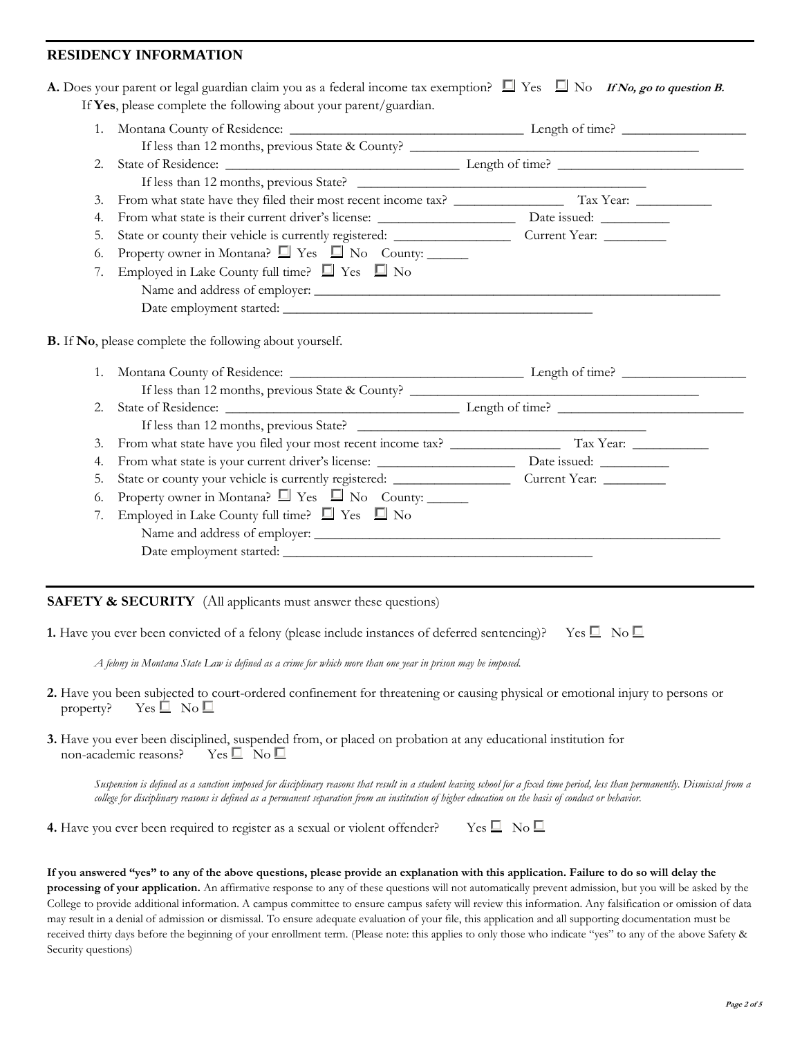# **RESIDENCY INFORMATION**

| 2.          |                                                                 |  |
|-------------|-----------------------------------------------------------------|--|
|             |                                                                 |  |
| 3.          |                                                                 |  |
| 4.          |                                                                 |  |
| 5.          |                                                                 |  |
| 6.          | Property owner in Montana? $\Box$ Yes $\Box$ No County: _______ |  |
| 7.          | Employed in Lake County full time? $\Box$ Yes $\Box$ No         |  |
|             |                                                                 |  |
|             |                                                                 |  |
|             |                                                                 |  |
| $1_{\cdot}$ | B. If No, please complete the following about yourself.         |  |
|             |                                                                 |  |
| 2.          |                                                                 |  |
|             |                                                                 |  |
| 3.          |                                                                 |  |
| 4.          |                                                                 |  |
| 5.          |                                                                 |  |
| 6.          | Property owner in Montana? $\Box$ Yes $\Box$ No County: _______ |  |
| 7.          | Employed in Lake County full time? $\Box$ Yes $\Box$ No         |  |

# **SAFETY & SECURITY** (All applicants must answer these questions)

| <b>1.</b> Have you ever been convicted of a felony (please include instances of deferred sentencing)? Yes $\Box$ No $\Box$ |  |  |  |  |  |  |
|----------------------------------------------------------------------------------------------------------------------------|--|--|--|--|--|--|
|----------------------------------------------------------------------------------------------------------------------------|--|--|--|--|--|--|

*A felony in Montana State Law is defined as a crime for which more than one year in prison may be imposed.*

- **2.** Have you been subjected to court-ordered confinement for threatening or causing physical or emotional injury to persons or property? Yes  $\Box$  No  $\Box$
- **3.** Have you ever been disciplined, suspended from, or placed on probation at any educational institution for non-academic reasons? Yes  $\square$  No  $\square$

*Suspension is defined as a sanction imposed for disciplinary reasons that result in a student leaving school for a fixed time period, less than permanently. Dismissal from a college for disciplinary reasons is defined as a permanent separation from an institution of higher education on the basis of conduct or behavior.*

**4.** Have you ever been required to register as a sexual or violent offender? Yes  $\Box$  No  $\Box$ 

#### **If you answered "yes" to any of the above questions, please provide an explanation with this application. Failure to do so will delay the**

**processing of your application.** An affirmative response to any of these questions will not automatically prevent admission, but you will be asked by the College to provide additional information. A campus committee to ensure campus safety will review this information. Any falsification or omission of data may result in a denial of admission or dismissal. To ensure adequate evaluation of your file, this application and all supporting documentation must be received thirty days before the beginning of your enrollment term. (Please note: this applies to only those who indicate "yes" to any of the above Safety & Security questions)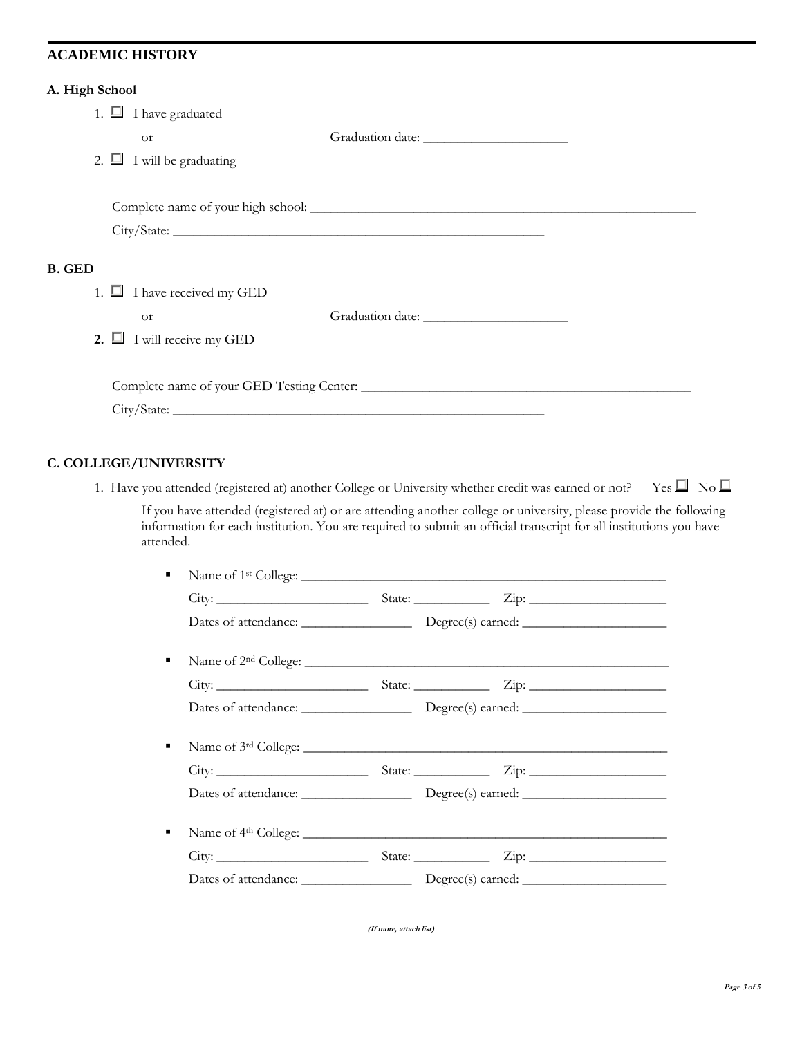## **ACADEMIC HISTORY**

#### **A. High School**

|               | 1. $\Box$ I have graduated       |  |
|---------------|----------------------------------|--|
|               | <b>Or</b>                        |  |
|               | 2. $\Box$ I will be graduating   |  |
|               |                                  |  |
|               |                                  |  |
|               | City/State:                      |  |
| <b>B.</b> GED |                                  |  |
|               | 1. $\Box$ I have received my GED |  |
|               | <sub>Or</sub>                    |  |
|               | 2. $\Box$ I will receive my GED  |  |
|               |                                  |  |
|               |                                  |  |
|               |                                  |  |

# **C. COLLEGE/UNIVERSITY**

1. Have you attended (registered at) another College or University whether credit was earned or not? Yes  $\Box$  No  $\Box$ 

If you have attended (registered at) or are attending another college or university, please provide the following information for each institution. You are required to submit an official transcript for all institutions you have attended.

| ٠ |  |  |
|---|--|--|
|   |  |  |
|   |  |  |
| ٠ |  |  |
|   |  |  |
|   |  |  |
| ٠ |  |  |
|   |  |  |
|   |  |  |
| ٠ |  |  |
|   |  |  |
|   |  |  |

**(If more, attach list)**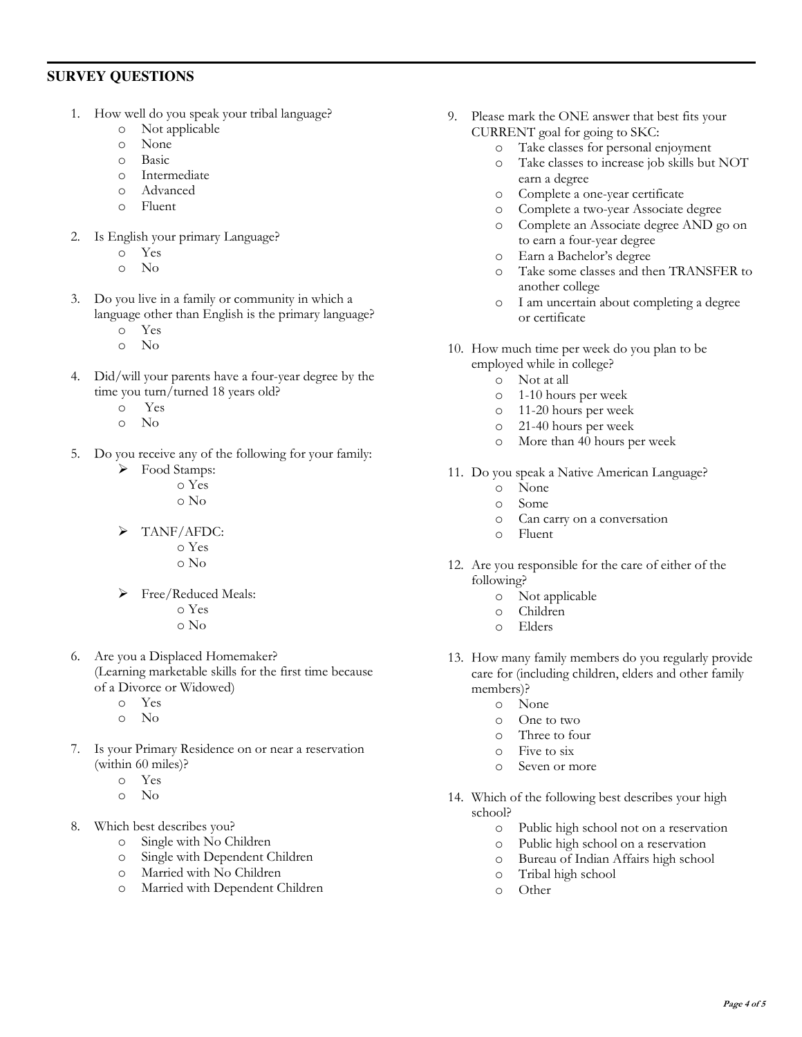# **SURVEY QUESTIONS**

- 1. How well do you speak your tribal language?
	- o Not applicable
	- o None
	- o Basic
	- o Intermediate
	- o Advanced
	- o Fluent
- 2. Is English your primary Language?
	- o Yes
		- o No
- 3. Do you live in a family or community in which a language other than English is the primary language?
	- o Yes
	- o No
- 4. Did/will your parents have a four-year degree by the time you turn/turned 18 years old?
	- o Yes
	- o No
- 5. Do you receive any of the following for your family:
	- $\triangleright$  Food Stamps: o Yes o No
	- > TANF/AFDC:
		- o Yes o No
	- Free/Reduced Meals: o Yes
		- o No
- 6. Are you a Displaced Homemaker? (Learning marketable skills for the first time because of a Divorce or Widowed)
	- o Yes
	- o No
- 7. Is your Primary Residence on or near a reservation (within 60 miles)?
	- o Yes
	- o No
- 8. Which best describes you?
	- o Single with No Children
	- o Single with Dependent Children
	- o Married with No Children
	- o Married with Dependent Children
- 9. Please mark the ONE answer that best fits your CURRENT goal for going to SKC:
	- o Take classes for personal enjoyment
	- o Take classes to increase job skills but NOT earn a degree
	- o Complete a one-year certificate
	- o Complete a two-year Associate degree
	- o Complete an Associate degree AND go on to earn a four-year degree
	- o Earn a Bachelor's degree
	- o Take some classes and then TRANSFER to another college
	- o I am uncertain about completing a degree or certificate
- 10. How much time per week do you plan to be employed while in college?
	- o Not at all
	- o 1-10 hours per week
	- o 11-20 hours per week
	- o 21-40 hours per week
	- o More than 40 hours per week
- 11. Do you speak a Native American Language?
	- o None
	- o Some
	- o Can carry on a conversation
	- o Fluent
- 12. Are you responsible for the care of either of the following?
	- o Not applicable
	- o Children
	- o Elders
- 13. How many family members do you regularly provide care for (including children, elders and other family members)?
	- o None
	- o One to two
	- o Three to four
	- o Five to six
	- o Seven or more
- 14. Which of the following best describes your high school?
	- o Public high school not on a reservation
	- o Public high school on a reservation
	- o Bureau of Indian Affairs high school
	- o Tribal high school
	- o Other